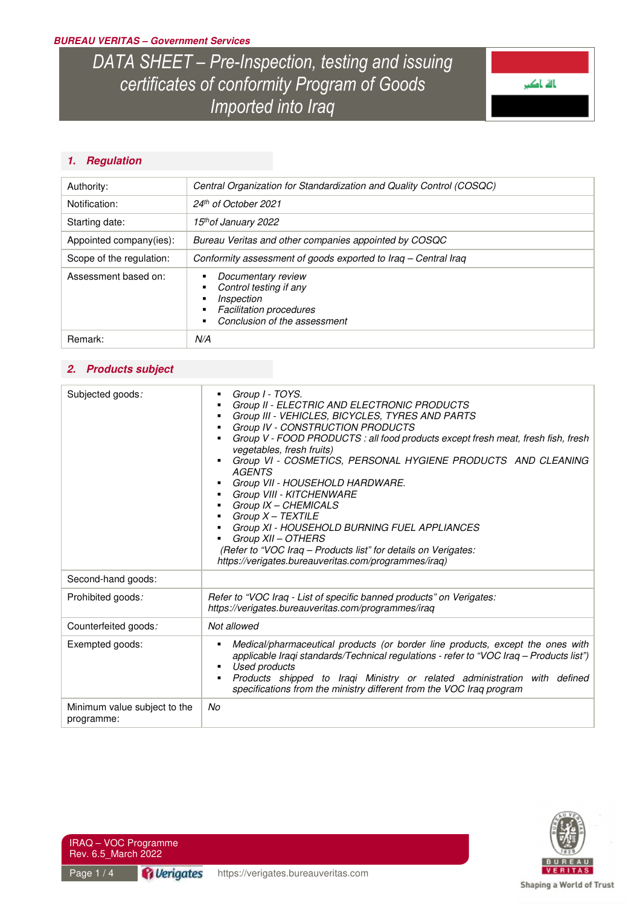# **BUREAU VERITAS – Government Services**

*DATA SHEET – Pre-Inspection, testing and issuing certificates of conformity Program of Goods Imported into Iraq* 

# **1. Regulation**

| Authority:               | Central Organization for Standardization and Quality Control (COSQC)                                                         |  |
|--------------------------|------------------------------------------------------------------------------------------------------------------------------|--|
| Notification:            | 24th of October 2021                                                                                                         |  |
| Starting date:           | 15 <sup>th</sup> of January 2022                                                                                             |  |
| Appointed company(ies):  | Bureau Veritas and other companies appointed by COSQC                                                                        |  |
| Scope of the regulation: | Conformity assessment of goods exported to Iraq – Central Iraq                                                               |  |
| Assessment based on:     | Documentary review<br>Control testing if any<br>Inspection<br><b>Facilitation procedures</b><br>Conclusion of the assessment |  |
| Remark:                  | N/A                                                                                                                          |  |

## **2. Products subject**

| Subjected goods:                           | Group I - TOYS.<br>Group II - ELECTRIC AND ELECTRONIC PRODUCTS<br>Group III - VEHICLES, BICYCLES, TYRES AND PARTS<br>Group IV - CONSTRUCTION PRODUCTS<br>Group V - FOOD PRODUCTS : all food products except fresh meat, fresh fish, fresh<br>vegetables, fresh fruits)<br>Group VI - COSMETICS, PERSONAL HYGIENE PRODUCTS AND CLEANING<br><b>AGENTS</b><br>Group VII - HOUSEHOLD HARDWARE.<br>Group VIII - KITCHENWARE<br>Group IX - CHEMICALS<br>$Group X - TEXTILE$<br>Group XI - HOUSEHOLD BURNING FUEL APPLIANCES<br>Group XII - OTHERS<br>(Refer to "VOC Iraq - Products list" for details on Verigates:<br>https://verigates.bureauveritas.com/programmes/iraq) |
|--------------------------------------------|-----------------------------------------------------------------------------------------------------------------------------------------------------------------------------------------------------------------------------------------------------------------------------------------------------------------------------------------------------------------------------------------------------------------------------------------------------------------------------------------------------------------------------------------------------------------------------------------------------------------------------------------------------------------------|
| Second-hand goods:                         |                                                                                                                                                                                                                                                                                                                                                                                                                                                                                                                                                                                                                                                                       |
| Prohibited goods:                          | Refer to "VOC Iraq - List of specific banned products" on Verigates:<br>https://verigates.bureauveritas.com/programmes/irag                                                                                                                                                                                                                                                                                                                                                                                                                                                                                                                                           |
| Counterfeited goods:                       | Not allowed                                                                                                                                                                                                                                                                                                                                                                                                                                                                                                                                                                                                                                                           |
| Exempted goods:                            | Medical/pharmaceutical products (or border line products, except the ones with<br>applicable Iraqi standards/Technical regulations - refer to "VOC Iraq - Products list")<br><b>Used products</b><br>Products shipped to Iraqi Ministry or related administration with defined<br>specifications from the ministry different from the VOC Iraq program                                                                                                                                                                                                                                                                                                                |
| Minimum value subject to the<br>programme: | No                                                                                                                                                                                                                                                                                                                                                                                                                                                                                                                                                                                                                                                                    |



IRAQ – VOC Programme Rev. 6.5\_March 2022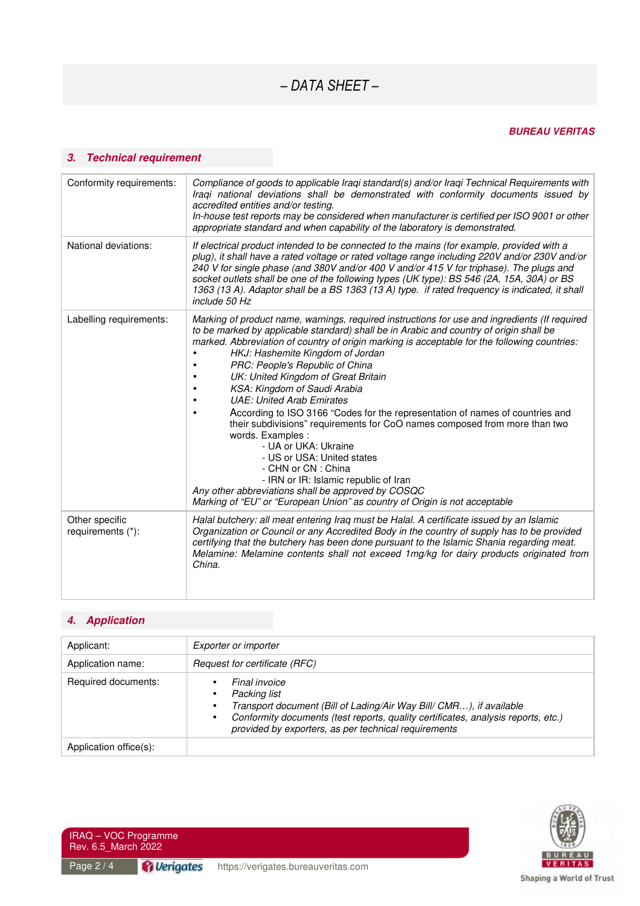## **BUREAU VERITAS**

# **3. Technical requirement**

| Conformity requirements:            | Compliance of goods to applicable Iraqi standard(s) and/or Iraqi Technical Requirements with<br>Iraqi national deviations shall be demonstrated with conformity documents issued by<br>accredited entities and/or testing.<br>In-house test reports may be considered when manufacturer is certified per ISO 9001 or other<br>appropriate standard and when capability of the laboratory is demonstrated.                                                                                                                                                                                                                                                                                                                                                                                                                                                                                                               |
|-------------------------------------|-------------------------------------------------------------------------------------------------------------------------------------------------------------------------------------------------------------------------------------------------------------------------------------------------------------------------------------------------------------------------------------------------------------------------------------------------------------------------------------------------------------------------------------------------------------------------------------------------------------------------------------------------------------------------------------------------------------------------------------------------------------------------------------------------------------------------------------------------------------------------------------------------------------------------|
| National deviations:                | If electrical product intended to be connected to the mains (for example, provided with a<br>plug), it shall have a rated voltage or rated voltage range including 220V and/or 230V and/or<br>240 V for single phase (and 380V and/or 400 V and/or 415 V for triphase). The plugs and<br>socket outlets shall be one of the following types (UK type): BS 546 (2A, 15A, 30A) or BS<br>1363 (13 A). Adaptor shall be a BS 1363 (13 A) type. if rated frequency is indicated, it shall<br>include 50 Hz                                                                                                                                                                                                                                                                                                                                                                                                                   |
| Labelling requirements:             | Marking of product name, warnings, required instructions for use and ingredients (If required<br>to be marked by applicable standard) shall be in Arabic and country of origin shall be<br>marked. Abbreviation of country of origin marking is acceptable for the following countries:<br>HKJ: Hashemite Kingdom of Jordan<br>PRC: People's Republic of China<br>UK: United Kingdom of Great Britain<br>KSA: Kingdom of Saudi Arabia<br><b>UAE: United Arab Emirates</b><br>According to ISO 3166 "Codes for the representation of names of countries and<br>their subdivisions" requirements for CoO names composed from more than two<br>words. Examples :<br>- UA or UKA: Ukraine<br>- US or USA: United states<br>- CHN or CN : China<br>- IRN or IR: Islamic republic of Iran<br>Any other abbreviations shall be approved by COSQC<br>Marking of "EU" or "European Union" as country of Origin is not acceptable |
| Other specific<br>requirements (*): | Halal butchery: all meat entering Iraq must be Halal. A certificate issued by an Islamic<br>Organization or Council or any Accredited Body in the country of supply has to be provided<br>certifying that the butchery has been done pursuant to the Islamic Shania regarding meat.<br>Melamine: Melamine contents shall not exceed 1mg/kg for dairy products originated from<br>China.                                                                                                                                                                                                                                                                                                                                                                                                                                                                                                                                 |

# **4. Application**

| Applicant:             | Exporter or importer                                                                                                                                                                                                                                                       |
|------------------------|----------------------------------------------------------------------------------------------------------------------------------------------------------------------------------------------------------------------------------------------------------------------------|
| Application name:      | Request for certificate (RFC)                                                                                                                                                                                                                                              |
| Required documents:    | <b>Final invoice</b><br>Packing list<br>Transport document (Bill of Lading/Air Way Bill/ CMR), if available<br>٠<br>Conformity documents (test reports, quality certificates, analysis reports, etc.)<br>$\bullet$<br>provided by exporters, as per technical requirements |
| Application office(s): |                                                                                                                                                                                                                                                                            |



IRAQ – VOC Programme Rev. 6.5\_March 2022

Page 2/4 **Page 2/4** https://verigates.bureauveritas.com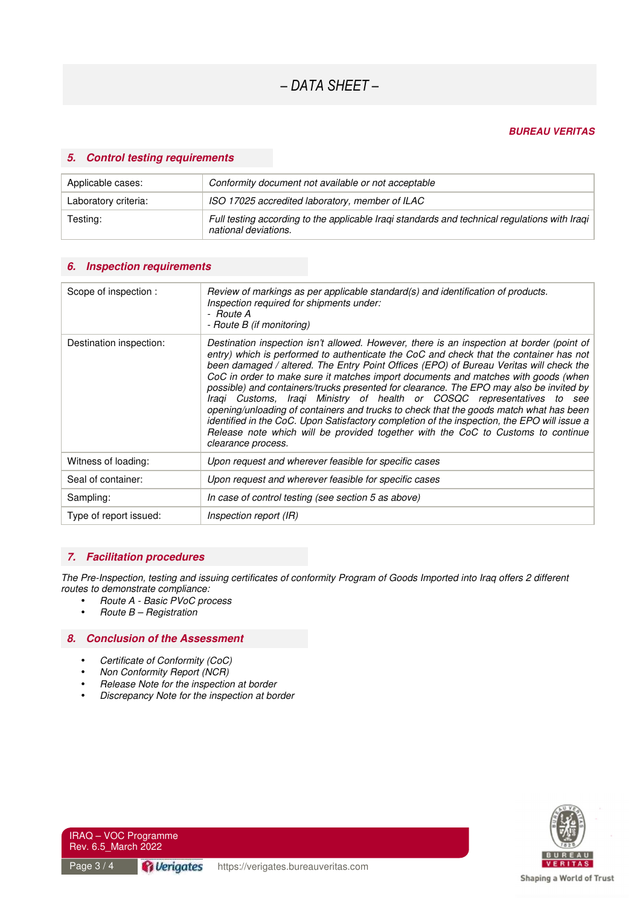### **BUREAU VERITAS**

### **5. Control testing requirements**

| Applicable cases:    | Conformity document not available or not acceptable                                                                   |
|----------------------|-----------------------------------------------------------------------------------------------------------------------|
| Laboratory criteria: | ISO 17025 accredited laboratory, member of ILAC                                                                       |
| Testing:             | Full testing according to the applicable Iragi standards and technical regulations with Iragi<br>national deviations. |

### **6. Inspection requirements**

| Scope of inspection :   | Review of markings as per applicable standard(s) and identification of products.<br>Inspection required for shipments under:<br>- Route A<br>- Route B (if monitoring)                                                                                                                                                                                                                                                                                                                                                                                                                                                                                                                                                                                                                                                                       |
|-------------------------|----------------------------------------------------------------------------------------------------------------------------------------------------------------------------------------------------------------------------------------------------------------------------------------------------------------------------------------------------------------------------------------------------------------------------------------------------------------------------------------------------------------------------------------------------------------------------------------------------------------------------------------------------------------------------------------------------------------------------------------------------------------------------------------------------------------------------------------------|
| Destination inspection: | Destination inspection isn't allowed. However, there is an inspection at border (point of<br>entry) which is performed to authenticate the CoC and check that the container has not<br>been damaged / altered. The Entry Point Offices (EPO) of Bureau Veritas will check the<br>CoC in order to make sure it matches import documents and matches with goods (when<br>possible) and containers/trucks presented for clearance. The EPO may also be invited by<br>Iraqi Customs, Iraqi Ministry of health or COSQC representatives to see<br>opening/unloading of containers and trucks to check that the goods match what has been<br>identified in the CoC. Upon Satisfactory completion of the inspection, the EPO will issue a<br>Release note which will be provided together with the CoC to Customs to continue<br>clearance process. |
| Witness of loading:     | Upon request and wherever feasible for specific cases                                                                                                                                                                                                                                                                                                                                                                                                                                                                                                                                                                                                                                                                                                                                                                                        |
| Seal of container:      | Upon request and wherever feasible for specific cases                                                                                                                                                                                                                                                                                                                                                                                                                                                                                                                                                                                                                                                                                                                                                                                        |
| Sampling:               | In case of control testing (see section 5 as above)                                                                                                                                                                                                                                                                                                                                                                                                                                                                                                                                                                                                                                                                                                                                                                                          |
| Type of report issued:  | Inspection report (IR)                                                                                                                                                                                                                                                                                                                                                                                                                                                                                                                                                                                                                                                                                                                                                                                                                       |

### **7. Facilitation procedures**

*The Pre-Inspection, testing and issuing certificates of conformity Program of Goods Imported into Iraq offers 2 different routes to demonstrate compliance:* 

- *Route A Basic PVoC process*
- *Route B Registration*

### **8. Conclusion of the Assessment**

- *Certificate of Conformity (CoC)*
- *Non Conformity Report (NCR)*
- *Release Note for the inspection at border*
- *Discrepancy Note for the inspection at border*



IRAQ – VOC Programme Rev. 6.5\_March 2022